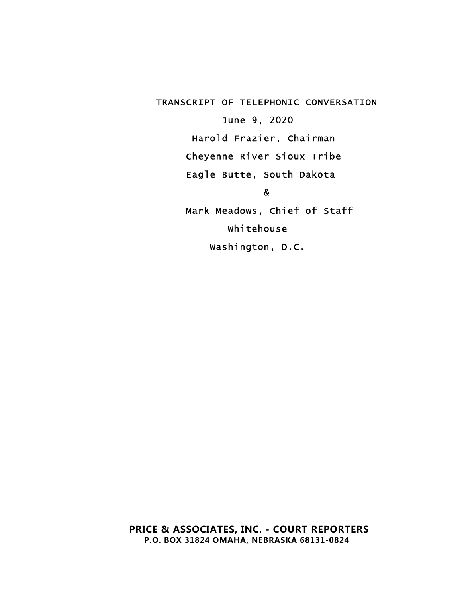<span id="page-0-7"></span><span id="page-0-6"></span><span id="page-0-5"></span><span id="page-0-4"></span><span id="page-0-3"></span><span id="page-0-2"></span><span id="page-0-1"></span><span id="page-0-0"></span> TRANSCRIPT OF TELEPHONIC CONVERSATION June 9, 2020 Harold Frazier, Chairman Cheyenne River Sioux Tribe Eagle Butte, South Dakota en de la provincia de la provincia de la provincia de la provincia de la provincia de la provincia de la provi Mark Meadows, Chief of Staff Whitehouse Washington, D.C.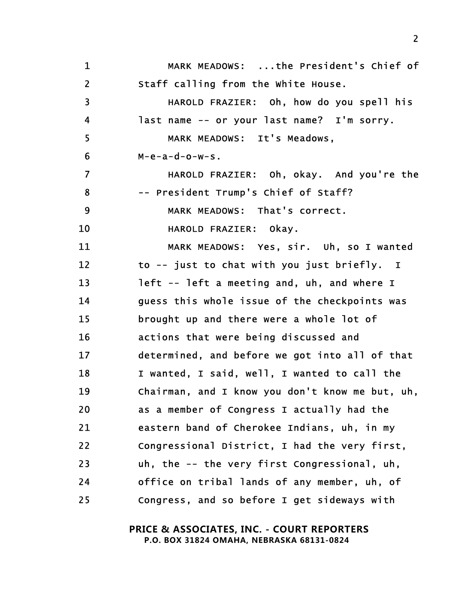<span id="page-1-24"></span><span id="page-1-23"></span><span id="page-1-22"></span><span id="page-1-21"></span><span id="page-1-20"></span><span id="page-1-19"></span><span id="page-1-18"></span><span id="page-1-17"></span><span id="page-1-16"></span><span id="page-1-15"></span><span id="page-1-14"></span><span id="page-1-13"></span><span id="page-1-12"></span><span id="page-1-11"></span><span id="page-1-10"></span><span id="page-1-9"></span><span id="page-1-8"></span><span id="page-1-7"></span><span id="page-1-6"></span><span id="page-1-5"></span><span id="page-1-4"></span><span id="page-1-3"></span><span id="page-1-2"></span><span id="page-1-1"></span><span id="page-1-0"></span>

| $\mathbf 1$             | MARK MEADOWS: the President's Chief of          |
|-------------------------|-------------------------------------------------|
| $\overline{2}$          | Staff calling from the White House.             |
| $\overline{\mathbf{3}}$ | HAROLD FRAZIER: Oh, how do you spell his        |
| $\overline{\mathbf{4}}$ | last name -- or your last name? I'm sorry.      |
| 5                       | MARK MEADOWS: It's Meadows,                     |
| 6                       | $M-e-a-d-o-w-s$ .                               |
| $\overline{7}$          | HAROLD FRAZIER: Oh, okay. And you're the        |
| 8                       | -- President Trump's Chief of Staff?            |
| $\boldsymbol{9}$        | MARK MEADOWS: That's correct.                   |
| 10                      | HAROLD FRAZIER: Okay.                           |
| 11                      | MARK MEADOWS: Yes, sir. Uh, so I wanted         |
| 12                      | to -- just to chat with you just briefly. I     |
| 13                      | left -- left a meeting and, uh, and where I     |
| 14                      | guess this whole issue of the checkpoints was   |
| 15                      | brought up and there were a whole lot of        |
| 16                      | actions that were being discussed and           |
| 17                      | determined, and before we got into all of that  |
| 18                      | I wanted, I said, well, I wanted to call the    |
| 19                      | Chairman, and I know you don't know me but, uh, |
| 20                      | as a member of Congress I actually had the      |
| 21                      | eastern band of Cherokee Indians, uh, in my     |
| 22                      | Congressional District, I had the very first,   |
| 23                      | uh, the -- the very first Congressional, uh,    |
| 24                      | office on tribal lands of any member, uh, of    |
| 25                      | Congress, and so before I get sideways with     |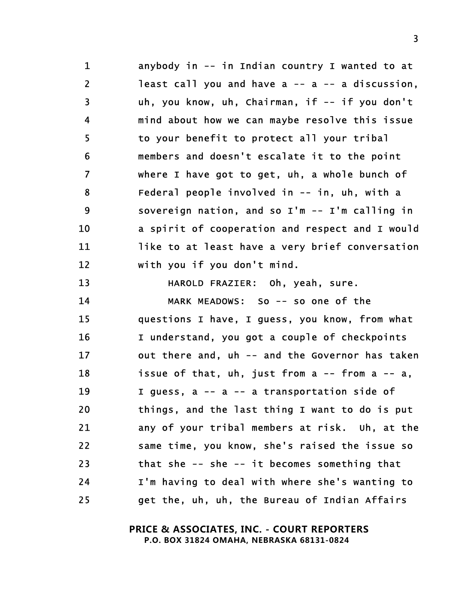<span id="page-2-18"></span><span id="page-2-17"></span><span id="page-2-11"></span><span id="page-2-10"></span><span id="page-2-6"></span><span id="page-2-4"></span><span id="page-2-2"></span>1 anybody in -- in Indian country I wanted to at 2 least call you and have a -- a -- a discussion, 3 uh, you know, uh, Chairman, if -- if you don't 4 mind about how we can maybe resolve this issue 5 to your benefit to protect all your tribal 6 members and doesn't escalate it to the point 7 where I have got to get, uh, a whole bunch of 8 Federal people involved in -- in, uh, with a 9 sovereign nation, and so I'm -- I'm calling in 10 a spirit of cooperation and respect and I would 11 like to at least have a very brief conversation 12 with you if you don't mind.

<span id="page-2-23"></span><span id="page-2-13"></span><span id="page-2-12"></span><span id="page-2-8"></span><span id="page-2-5"></span><span id="page-2-3"></span>13 HAROLD FRAZIER: Oh, yeah, sure.

<span id="page-2-24"></span><span id="page-2-22"></span><span id="page-2-21"></span><span id="page-2-20"></span><span id="page-2-19"></span><span id="page-2-16"></span><span id="page-2-15"></span><span id="page-2-14"></span><span id="page-2-9"></span><span id="page-2-7"></span><span id="page-2-1"></span><span id="page-2-0"></span>14 MARK MEADOWS: So -- so one of the 15 questions I have, I guess, you know, from what 16 I understand, you got a couple of checkpoints 17 out there and, uh -- and the Governor has taken 18 issue of that, uh, just from a -- from a -- a, 19 I guess, a -- a -- a transportation side of 20 things, and the last thing I want to do is put 21 any of your tribal members at risk. Uh, at the 22 same time, you know, she's raised the issue so 23 that she -- she -- it becomes something that 24 I'm having to deal with where she's wanting to 25 get the, uh, uh, the Bureau of Indian Affairs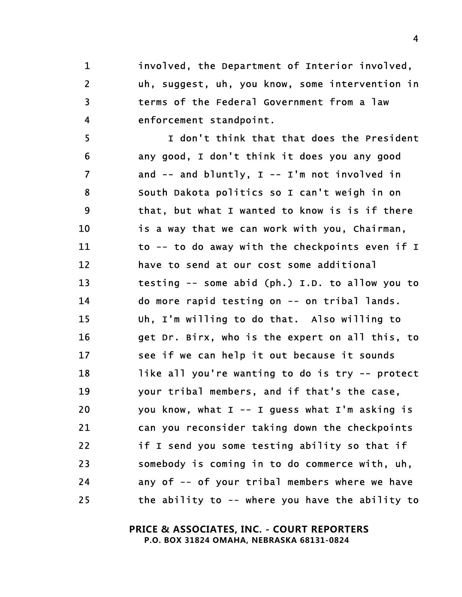<span id="page-3-16"></span><span id="page-3-13"></span>1 involved, the Department of Interior involved, 2 uh, suggest, uh, you know, some intervention in 3 terms of the Federal Government from a law 4 enforcement standpoint.

<span id="page-3-23"></span><span id="page-3-22"></span><span id="page-3-21"></span><span id="page-3-20"></span><span id="page-3-19"></span><span id="page-3-18"></span><span id="page-3-17"></span><span id="page-3-15"></span><span id="page-3-14"></span><span id="page-3-12"></span><span id="page-3-11"></span><span id="page-3-10"></span><span id="page-3-9"></span><span id="page-3-8"></span><span id="page-3-7"></span><span id="page-3-6"></span><span id="page-3-5"></span><span id="page-3-4"></span><span id="page-3-3"></span><span id="page-3-2"></span><span id="page-3-1"></span><span id="page-3-0"></span>5 I don't think that that does the President 6 any good, I don't think it does you any good 7 and -- and bluntly, I -- I'm not involved in 8 South Dakota politics so I can't weigh in on 9 that, but what I wanted to know is is if there 10 is a way that we can work with you, Chairman, 11 to -- to do away with the checkpoints even if I 12 have to send at our cost some additional 13 testing -- some abid (ph.) I.D. to allow you to 14 do more rapid testing on -- on tribal lands. 15 Uh, I'm willing to do that. Also willing to 16 get Dr. Birx, who is the expert on all this, to 17 see if we can help it out because it sounds 18 like all you're wanting to do is try -- protect 19 your tribal members, and if that's the case, 20 you know, what I -- I guess what I'm asking is 21 can you reconsider taking down the checkpoints 22 if I send you some testing ability so that if 23 somebody is coming in to do commerce with, uh, 24 any of -- of your tribal members where we have 25 the ability to -- where you have the ability to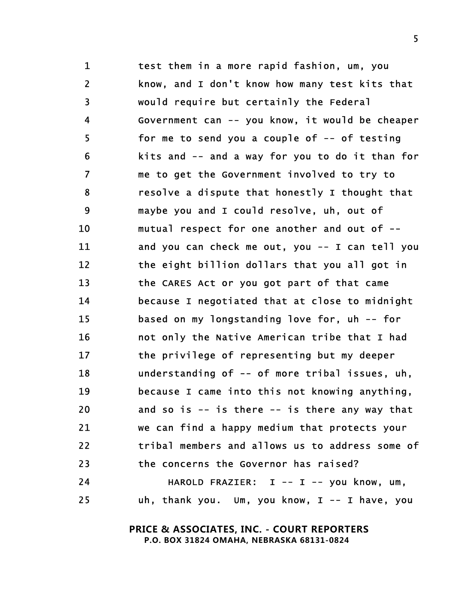<span id="page-4-23"></span><span id="page-4-22"></span><span id="page-4-21"></span><span id="page-4-20"></span><span id="page-4-19"></span><span id="page-4-18"></span><span id="page-4-17"></span><span id="page-4-16"></span><span id="page-4-15"></span><span id="page-4-14"></span><span id="page-4-13"></span><span id="page-4-12"></span><span id="page-4-11"></span><span id="page-4-10"></span><span id="page-4-9"></span><span id="page-4-8"></span><span id="page-4-7"></span><span id="page-4-6"></span><span id="page-4-5"></span><span id="page-4-4"></span><span id="page-4-3"></span><span id="page-4-2"></span><span id="page-4-1"></span><span id="page-4-0"></span>1 test them in a more rapid fashion, um, you 2 know, and I don't know how many test kits that 3 would require but certainly the Federal 4 Government can -- you know, it would be cheaper 5 for me to send you a couple of -- of testing 6 kits and -- and a way for you to do it than for 7 me to get the Government involved to try to 8 resolve a dispute that honestly I thought that 9 maybe you and I could resolve, uh, out of 10 mutual respect for one another and out of -- 11 and you can check me out, you -- I can tell you 12 the eight billion dollars that you all got in 13 the CARES Act or you got part of that came 14 because I negotiated that at close to midnight 15 based on my longstanding love for, uh -- for 16 not only the Native American tribe that I had 17 the privilege of representing but my deeper 18 understanding of -- of more tribal issues, uh, 19 because I came into this not knowing anything, 20 and so is -- is there -- is there any way that 21 we can find a happy medium that protects your 22 tribal members and allows us to address some of 23 the concerns the Governor has raised? 24 HAROLD FRAZIER: I -- I -- you know, um, 25 uh, thank you. Um, you know, I -- I have, you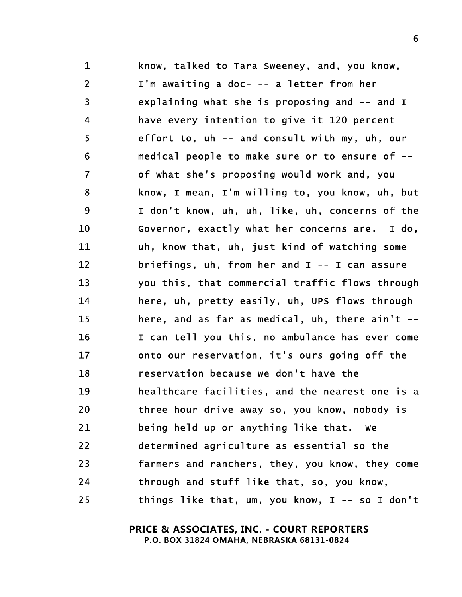<span id="page-5-24"></span><span id="page-5-23"></span><span id="page-5-22"></span><span id="page-5-21"></span><span id="page-5-20"></span><span id="page-5-19"></span><span id="page-5-18"></span><span id="page-5-17"></span><span id="page-5-16"></span><span id="page-5-15"></span><span id="page-5-14"></span><span id="page-5-13"></span><span id="page-5-12"></span><span id="page-5-11"></span><span id="page-5-10"></span><span id="page-5-9"></span><span id="page-5-8"></span><span id="page-5-7"></span><span id="page-5-6"></span><span id="page-5-5"></span><span id="page-5-4"></span><span id="page-5-3"></span><span id="page-5-2"></span><span id="page-5-1"></span><span id="page-5-0"></span>1 know, talked to Tara Sweeney, and, you know, 2 I'm awaiting a doc- -- a letter from her 3 explaining what she is proposing and -- and I 4 have every intention to give it 120 percent 5 effort to, uh -- and consult with my, uh, our 6 medical people to make sure or to ensure of -- 7 of what she's proposing would work and, you 8 know, I mean, I'm willing to, you know, uh, but 9 I don't know, uh, uh, like, uh, concerns of the 10 Governor, exactly what her concerns are. I do, 11 uh, know that, uh, just kind of watching some 12 briefings, uh, from her and I -- I can assure 13 you this, that commercial traffic flows through 14 here, uh, pretty easily, uh, UPS flows through 15 here, and as far as medical, uh, there ain't -- 16 I can tell you this, no ambulance has ever come 17 onto our reservation, it's ours going off the 18 reservation because we don't have the 19 healthcare facilities, and the nearest one is a 20 three-hour drive away so, you know, nobody is 21 being held up or anything like that. We 22 determined agriculture as essential so the 23 farmers and ranchers, they, you know, they come 24 through and stuff like that, so, you know, 25 things like that, um, you know, I -- so I don't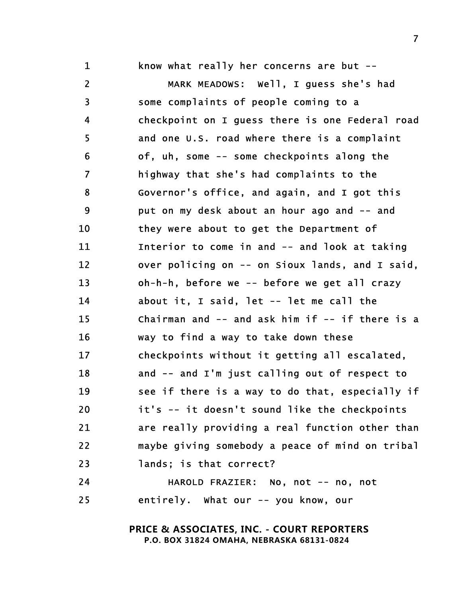<span id="page-6-22"></span><span id="page-6-21"></span><span id="page-6-20"></span><span id="page-6-19"></span><span id="page-6-13"></span><span id="page-6-12"></span><span id="page-6-8"></span><span id="page-6-7"></span><span id="page-6-6"></span><span id="page-6-3"></span><span id="page-6-2"></span>1 know what really her concerns are but --2 MARK MEADOWS: Well, I guess she's had 3 some complaints of people coming to a 4 checkpoint on I guess there is one Federal road 5 and one U.S. road where there is a complaint 6 of, uh, some -- some checkpoints along the 7 highway that she's had complaints to the 8 Governor's office, and again, and I got this 9 put on my desk about an hour ago and -- and 10 they were about to get the Department of 11 Interior to come in and -- and look at taking 12 over policing on -- on Sioux lands, and I said, 13 oh-h-h, before we -- before we get all crazy 14 about it, I said, let -- let me call the 15 Chairman and -- and ask him if -- if there is a 16 way to find a way to take down these 17 checkpoints without it getting all escalated, 18 and -- and I'm just calling out of respect to 19 see if there is a way to do that, especially if 20 it's -- it doesn't sound like the checkpoints 21 are really providing a real function other than 22 maybe giving somebody a peace of mind on tribal 23 lands; is that correct?

<span id="page-6-18"></span><span id="page-6-17"></span><span id="page-6-16"></span><span id="page-6-15"></span><span id="page-6-14"></span><span id="page-6-11"></span><span id="page-6-10"></span><span id="page-6-5"></span><span id="page-6-4"></span><span id="page-6-1"></span><span id="page-6-0"></span>24 HAROLD FRAZIER: No, not -- no, not 25 entirely. What our -- you know, our

> **PRICE & ASSOCIATES, INC. - COURT REPORTERS P.O. BOX 31824 OMAHA, NEBRASKA 68131-0824**

<span id="page-6-9"></span>z znaczenie polskiego przez przez przez przez przez przez przez przez przez przez przez przez przez przez prz<br>Zmierzenie przez przez przez przez przez przez przez przez przez przez przez przez przez przez przez przez prz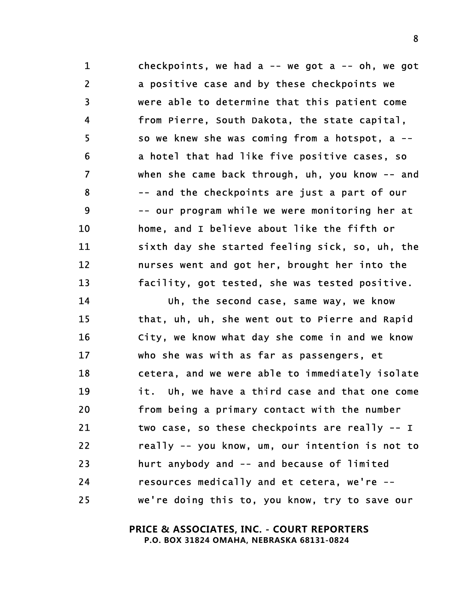<span id="page-7-24"></span><span id="page-7-13"></span><span id="page-7-8"></span><span id="page-7-4"></span><span id="page-7-3"></span><span id="page-7-0"></span>1 checkpoints, we had a -- we got a -- oh, we got 2 a positive case and by these checkpoints we 3 were able to determine that this patient come 4 from Pierre, South Dakota, the state capital, 5 so we knew she was coming from a hotspot, a -- 6 a hotel that had like five positive cases, so 7 when she came back through, uh, you know -- and 8 -- and the checkpoints are just a part of our 9 -- our program while we were monitoring her at 10 home, and I believe about like the fifth or 11 sixth day she started feeling sick, so, uh, the 12 nurses went and got her, brought her into the 13 facility, got tested, she was tested positive.

<span id="page-7-22"></span><span id="page-7-21"></span><span id="page-7-18"></span><span id="page-7-17"></span><span id="page-7-16"></span><span id="page-7-15"></span><span id="page-7-14"></span><span id="page-7-12"></span><span id="page-7-11"></span><span id="page-7-7"></span><span id="page-7-6"></span><span id="page-7-5"></span><span id="page-7-2"></span><span id="page-7-1"></span>14 Uh, the second case, same way, we know 15 that, uh, uh, she went out to Pierre and Rapid 16 City, we know what day she come in and we know 17 who she was with as far as passengers, et 18 cetera, and we were able to immediately isolate 19 it. Uh, we have a third case and that one come 20 from being a primary contact with the number 21 two case, so these checkpoints are really -- I 22 really -- you know, um, our intention is not to 23 hurt anybody and -- and because of limited 24 resources medically and et cetera, we're -- 25 we're doing this to, you know, try to save our

> <span id="page-7-23"></span><span id="page-7-20"></span><span id="page-7-19"></span><span id="page-7-9"></span> **PRICE & ASSOCIATES, INC. - COURT REPORTERS P.O. BOX 31824 OMAHA, NEBRASKA 68131-0824**

<span id="page-7-10"></span>8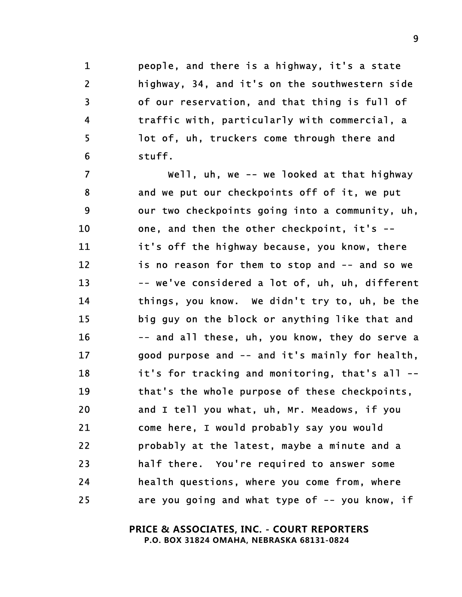<span id="page-8-8"></span>1 people, and there is a highway, it's a state 2 highway, 34, and it's on the southwestern side 3 of our reservation, and that thing is full of 4 traffic with, particularly with commercial, a 5 lot of, uh, truckers come through there and 6 stuff.

<span id="page-8-24"></span><span id="page-8-22"></span><span id="page-8-21"></span><span id="page-8-20"></span><span id="page-8-19"></span><span id="page-8-14"></span><span id="page-8-13"></span><span id="page-8-10"></span><span id="page-8-7"></span><span id="page-8-6"></span><span id="page-8-4"></span><span id="page-8-3"></span><span id="page-8-2"></span><span id="page-8-1"></span>7 Well, uh, we -- we looked at that highway 8 and we put our checkpoints off of it, we put 9 our two checkpoints going into a community, uh, 10 one, and then the other checkpoint, it's -- 11 it's off the highway because, you know, there 12 is no reason for them to stop and -- and so we 13 -- we've considered a lot of, uh, uh, different 14 things, you know. We didn't try to, uh, be the 15 big guy on the block or anything like that and 16 -- and all these, uh, you know, they do serve a 17 good purpose and -- and it's mainly for health, 18 it's for tracking and monitoring, that's all -- 19 that's the whole purpose of these checkpoints, 20 and I tell you what, uh, Mr. Meadows, if you 21 come here, I would probably say you would 22 probably at the latest, maybe a minute and a 23 half there. You're required to answer some 24 health questions, where you come from, where 25 are you going and what type of -- you know, if

> <span id="page-8-23"></span><span id="page-8-18"></span><span id="page-8-17"></span><span id="page-8-16"></span><span id="page-8-15"></span><span id="page-8-11"></span><span id="page-8-9"></span><span id="page-8-5"></span> **PRICE & ASSOCIATES, INC. - COURT REPORTERS P.O. BOX 31824 OMAHA, NEBRASKA 68131-0824**

<span id="page-8-12"></span><span id="page-8-0"></span>en de la construction de la construction de la construction de la construction de la construction de la constr<br>1990 : la construction de la construction de la construction de la construction de la construction de la const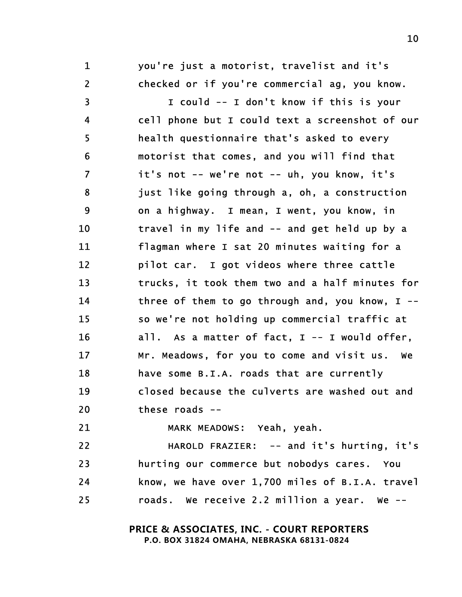<span id="page-9-20"></span>1 you're just a motorist, travelist and it's 2 checked or if you're commercial ag, you know.

<span id="page-9-22"></span><span id="page-9-16"></span><span id="page-9-15"></span><span id="page-9-14"></span><span id="page-9-11"></span><span id="page-9-9"></span><span id="page-9-7"></span><span id="page-9-3"></span><span id="page-9-2"></span>3 I could -- I don't know if this is your 4 cell phone but I could text a screenshot of our 5 health questionnaire that's asked to every 6 motorist that comes, and you will find that 7 it's not -- we're not -- uh, you know, it's 8 just like going through a, oh, a construction 9 on a highway. I mean, I went, you know, in 10 travel in my life and -- and get held up by a 11 flagman where I sat 20 minutes waiting for a 12 pilot car. I got videos where three cattle 13 trucks, it took them two and a half minutes for 14 three of them to go through and, you know, I -- 15 so we're not holding up commercial traffic at 16 all. As a matter of fact, I -- I would offer, 17 Mr. Meadows, for you to come and visit us. We 18 have some B.I.A. roads that are currently 19 closed because the culverts are washed out and 20 these roads --

<span id="page-9-21"></span><span id="page-9-19"></span><span id="page-9-18"></span><span id="page-9-17"></span><span id="page-9-13"></span><span id="page-9-12"></span><span id="page-9-10"></span><span id="page-9-8"></span><span id="page-9-6"></span><span id="page-9-5"></span><span id="page-9-4"></span>

21 MARK MEADOWS: Yeah, yeah.

<span id="page-9-1"></span><span id="page-9-0"></span>22 HAROLD FRAZIER: -- and it's hurting, it's 23 hurting our commerce but nobodys cares. You 24 know, we have over 1,700 miles of B.I.A. travel 25 roads. We receive 2.2 million a year. We --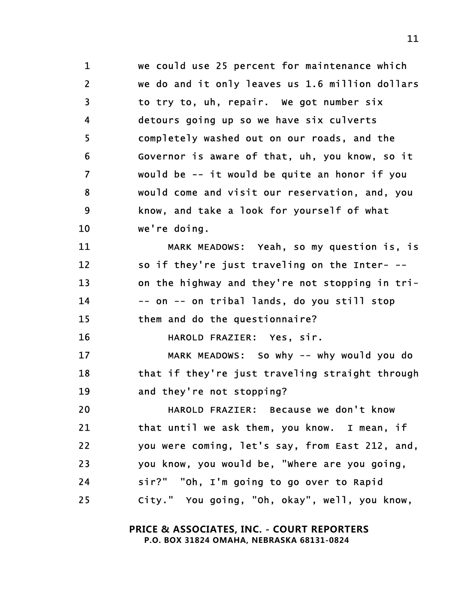<span id="page-10-17"></span><span id="page-10-8"></span><span id="page-10-5"></span><span id="page-10-4"></span><span id="page-10-2"></span><span id="page-10-0"></span>1 we could use 25 percent for maintenance which 2 we do and it only leaves us 1.6 million dollars 3 to try to, uh, repair. We got number six 4 detours going up so we have six culverts 5 completely washed out on our roads, and the 6 Governor is aware of that, uh, you know, so it 7 would be -- it would be quite an honor if you 8 would come and visit our reservation, and, you 9 know, and take a look for yourself of what 10 we're doing. 11 MARK MEADOWS: Yeah, so my question is, is

<span id="page-10-22"></span><span id="page-10-21"></span><span id="page-10-18"></span><span id="page-10-13"></span><span id="page-10-11"></span><span id="page-10-10"></span><span id="page-10-9"></span>12 so if they're just traveling on the Inter- -- 13 on the highway and they're not stopping in tri-14 -- on -- on tribal lands, do you still stop 15 them and do the questionnaire?

<span id="page-10-15"></span><span id="page-10-12"></span><span id="page-10-6"></span>16 HAROLD FRAZIER: Yes, sir.

<span id="page-10-20"></span><span id="page-10-14"></span>17 MARK MEADOWS: So why -- why would you do 18 that if they're just traveling straight through 19 and they're not stopping?

<span id="page-10-19"></span><span id="page-10-16"></span><span id="page-10-7"></span><span id="page-10-3"></span><span id="page-10-1"></span>20 HAROLD FRAZIER: Because we don't know 21 that until we ask them, you know. I mean, if 22 you were coming, let's say, from East 212, and, 23 you know, you would be, "Where are you going, 24 sir?" "Oh, I'm going to go over to Rapid 25 City." You going, "Oh, okay", well, you know,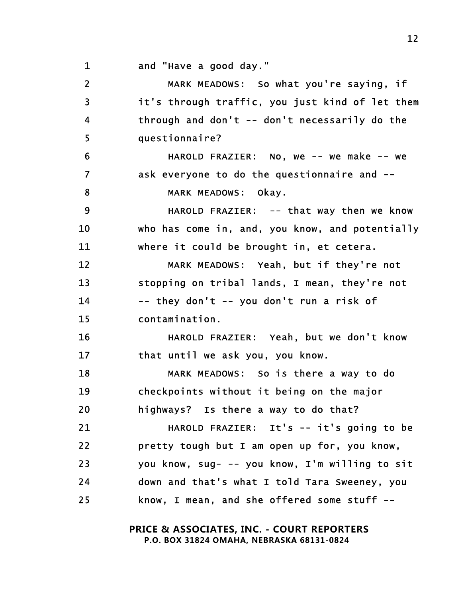1 and "Have a good day."

<span id="page-11-22"></span><span id="page-11-21"></span><span id="page-11-20"></span><span id="page-11-19"></span><span id="page-11-18"></span><span id="page-11-17"></span><span id="page-11-16"></span><span id="page-11-15"></span><span id="page-11-14"></span><span id="page-11-13"></span><span id="page-11-12"></span><span id="page-11-11"></span><span id="page-11-10"></span><span id="page-11-9"></span><span id="page-11-8"></span><span id="page-11-7"></span><span id="page-11-6"></span><span id="page-11-5"></span><span id="page-11-4"></span><span id="page-11-3"></span><span id="page-11-2"></span><span id="page-11-1"></span><span id="page-11-0"></span>2 MARK MEADOWS: So what you're saying, if 3 it's through traffic, you just kind of let them 4 through and don't -- don't necessarily do the 5 questionnaire? 6 HAROLD FRAZIER: No, we -- we make -- we 7 ask everyone to do the questionnaire and -- 8 MARK MEADOWS: Okav. 9 HAROLD FRAZIER: -- that way then we know 10 who has come in, and, you know, and potentially 11 where it could be brought in, et cetera. 12 MARK MEADOWS: Yeah, but if they're not 13 stopping on tribal lands, I mean, they're not 14 -- they don't -- you don't run a risk of 15 contamination. 16 HAROLD FRAZIER: Yeah, but we don't know 17 that until we ask you, you know. 18 MARK MEADOWS: So is there a way to do 19 checkpoints without it being on the major 20 highways? Is there a way to do that? 21 HAROLD FRAZIER: It's -- it's going to be 22 pretty tough but I am open up for, you know, 23 you know, sug- -- you know, I'm willing to sit 24 down and that's what I told Tara Sweeney, you 25 know, I mean, and she offered some stuff --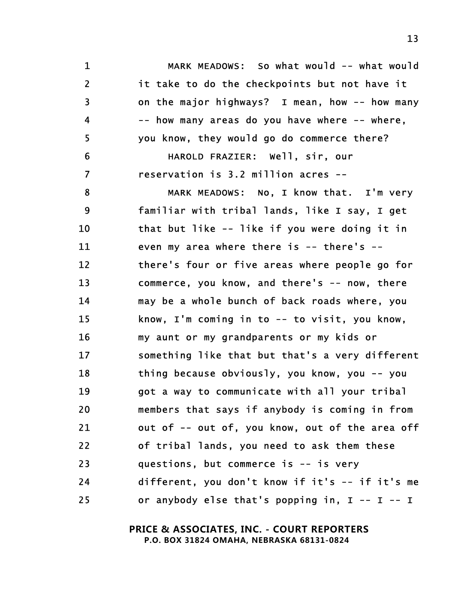<span id="page-12-20"></span><span id="page-12-17"></span><span id="page-12-14"></span><span id="page-12-13"></span><span id="page-12-12"></span><span id="page-12-9"></span><span id="page-12-8"></span><span id="page-12-5"></span><span id="page-12-4"></span><span id="page-12-2"></span><span id="page-12-1"></span><span id="page-12-0"></span>1 MARK MEADOWS: So what would -- what would 2 it take to do the checkpoints but not have it 3 on the major highways? I mean, how -- how many 4 -- how many areas do you have where -- where, 5 you know, they would go do commerce there? 6 HAROLD FRAZIER: Well, sir, our 7 reservation is 3.2 million acres -- 8 MARK MEADOWS: No, I know that. I'm very 9 familiar with tribal lands, like I say, I get 10 that but like -- like if you were doing it in 11 even my area where there is -- there's -- 12 there's four or five areas where people go for 13 commerce, you know, and there's -- now, there 14 may be a whole bunch of back roads where, you 15 know, I'm coming in to -- to visit, you know, 16 my aunt or my grandparents or my kids or 17 something like that but that's a very different 18 thing because obviously, you know, you -- you 19 got a way to communicate with all your tribal 20 members that says if anybody is coming in from 21 out of -- out of, you know, out of the area off 22 of tribal lands, you need to ask them these 23 questions, but commerce is -- is very 24 different, you don't know if it's -- if it's me 25 or anybody else that's popping in, I -- I -- I

> <span id="page-12-19"></span><span id="page-12-18"></span><span id="page-12-15"></span><span id="page-12-11"></span><span id="page-12-10"></span><span id="page-12-7"></span><span id="page-12-6"></span><span id="page-12-3"></span> **PRICE & ASSOCIATES, INC. - COURT REPORTERS P.O. BOX 31824 OMAHA, NEBRASKA 68131-0824**

<span id="page-12-16"></span>13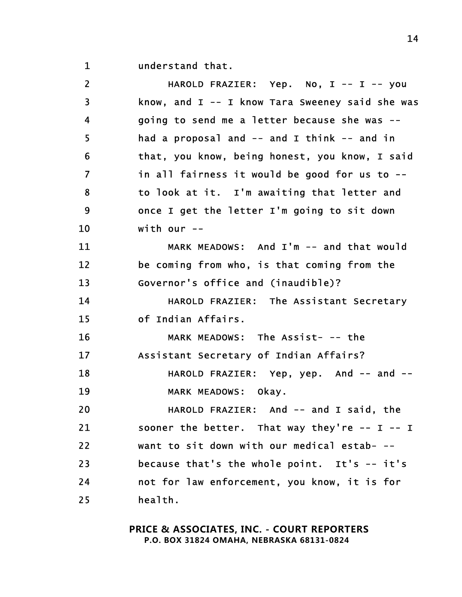1 understand that.

<span id="page-13-23"></span><span id="page-13-22"></span><span id="page-13-21"></span><span id="page-13-20"></span><span id="page-13-19"></span><span id="page-13-18"></span><span id="page-13-17"></span><span id="page-13-16"></span><span id="page-13-15"></span><span id="page-13-14"></span><span id="page-13-13"></span><span id="page-13-12"></span><span id="page-13-11"></span><span id="page-13-10"></span><span id="page-13-9"></span><span id="page-13-8"></span><span id="page-13-7"></span><span id="page-13-6"></span><span id="page-13-5"></span><span id="page-13-4"></span><span id="page-13-3"></span><span id="page-13-2"></span><span id="page-13-1"></span><span id="page-13-0"></span>

| $\overline{2}$          | HAROLD FRAZIER: Yep. No, I -- I -- you              |
|-------------------------|-----------------------------------------------------|
| 3                       | know, and I -- I know Tara Sweeney said she was     |
| 4                       | going to send me a letter because she was --        |
| 5                       | had a proposal and $--$ and I think $--$ and in     |
| 6                       | that, you know, being honest, you know, I said      |
| $\overline{\mathbf{z}}$ | in all fairness it would be good for us to --       |
| 8                       | to look at it. I'm awaiting that letter and         |
| 9                       | once I get the letter I'm going to sit down         |
| 10                      | with our $--$                                       |
| 11                      | MARK MEADOWS: And I'm -- and that would             |
| 12                      | be coming from who, is that coming from the         |
| 13                      | Governor's office and (inaudible)?                  |
| 14                      | HAROLD FRAZIER: The Assistant Secretary             |
| 15                      | of Indian Affairs.                                  |
| 16                      | MARK MEADOWS: The Assist- -- the                    |
| 17                      | Assistant Secretary of Indian Affairs?              |
| 18                      | HAROLD FRAZIER: Yep, yep. And -- and --             |
| 19                      | MARK MEADOWS: Okay.                                 |
| 20                      | HAROLD FRAZIER: And -- and I said, the              |
| 21                      | sooner the better. That way they're $-$ - I $-$ - I |
| 22                      | want to sit down with our medical estab- --         |
| 23                      | because that's the whole point. It's -- it's        |
| 24                      | not for law enforcement, you know, it is for        |
| 25                      | health.                                             |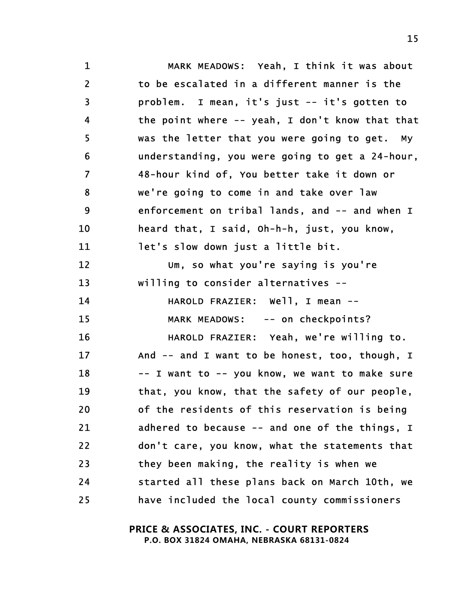<span id="page-14-23"></span><span id="page-14-22"></span><span id="page-14-21"></span><span id="page-14-20"></span><span id="page-14-19"></span><span id="page-14-18"></span><span id="page-14-17"></span><span id="page-14-16"></span><span id="page-14-15"></span><span id="page-14-14"></span><span id="page-14-13"></span><span id="page-14-12"></span><span id="page-14-11"></span><span id="page-14-10"></span><span id="page-14-9"></span><span id="page-14-8"></span><span id="page-14-7"></span><span id="page-14-6"></span><span id="page-14-5"></span><span id="page-14-4"></span><span id="page-14-3"></span><span id="page-14-2"></span><span id="page-14-1"></span><span id="page-14-0"></span>1 MARK MEADOWS: Yeah, I think it was about 2 to be escalated in a different manner is the 3 problem. I mean, it's just -- it's gotten to 4 the point where -- yeah, I don't know that that 5 was the letter that you were going to get. My 6 understanding, you were going to get a 24-hour, 7 48-hour kind of, You better take it down or 8 we're going to come in and take over law 9 enforcement on tribal lands, and -- and when I 10 heard that, I said, Oh-h-h, just, you know, 11 let's slow down just a little bit. 12 Um, so what you're saying is you're 13 willing to consider alternatives -- 14 HAROLD FRAZIER: Well, I mean -- 15 MARK MEADOWS: -- on checkpoints? 16 HAROLD FRAZIER: Yeah, we're willing to. 17 And -- and I want to be honest, too, though, I 18 -- I want to -- you know, we want to make sure 19 that, you know, that the safety of our people, 20 of the residents of this reservation is being 21 adhered to because -- and one of the things, I 22 don't care, you know, what the statements that 23 they been making, the reality is when we 24 started all these plans back on March 10th, we 25 have included the local county commissioners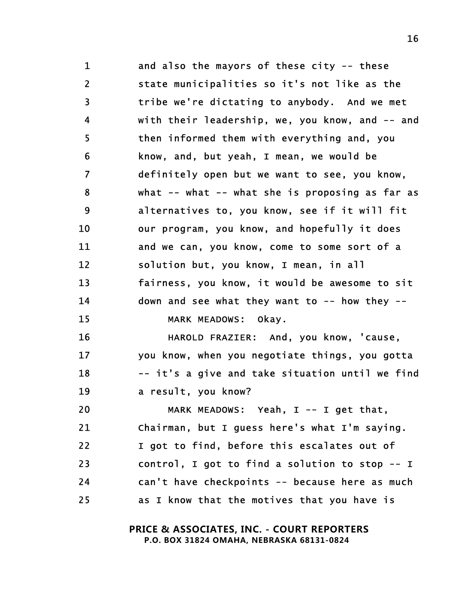<span id="page-15-23"></span><span id="page-15-18"></span><span id="page-15-17"></span><span id="page-15-13"></span><span id="page-15-10"></span><span id="page-15-8"></span><span id="page-15-7"></span><span id="page-15-5"></span>1 and also the mayors of these city -- these 2 state municipalities so it's not like as the 3 tribe we're dictating to anybody. And we met 4 with their leadership, we, you know, and -- and 5 then informed them with everything and, you 6 know, and, but yeah, I mean, we would be 7 definitely open but we want to see, you know, 8 what -- what -- what she is proposing as far as 9 alternatives to, you know, see if it will fit 10 our program, you know, and hopefully it does 11 and we can, you know, come to some sort of a 12 solution but, you know, I mean, in all 13 fairness, you know, it would be awesome to sit 14 down and see what they want to -- how they -- 15 MARK MEADOWS: Okay.

<span id="page-15-22"></span><span id="page-15-21"></span><span id="page-15-14"></span><span id="page-15-12"></span><span id="page-15-11"></span><span id="page-15-3"></span><span id="page-15-1"></span><span id="page-15-0"></span>16 HAROLD FRAZIER: And, you know, 'cause, 17 you know, when you negotiate things, you gotta 18 -- it's a give and take situation until we find 19 a result, you know?

<span id="page-15-20"></span><span id="page-15-19"></span><span id="page-15-16"></span><span id="page-15-15"></span><span id="page-15-9"></span><span id="page-15-6"></span><span id="page-15-4"></span><span id="page-15-2"></span>20 MARK MEADOWS: Yeah, I -- I get that, 21 Chairman, but I guess here's what I'm saying. 22 1 got to find, before this escalates out of 23 control, I got to find a solution to stop -- I 24 can't have checkpoints -- because here as much 25 as I know that the motives that you have is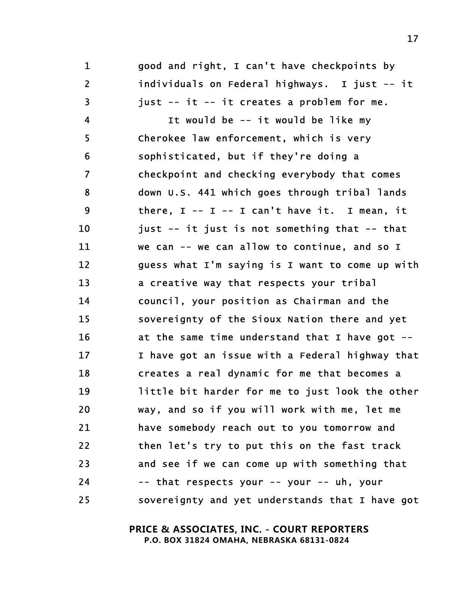<span id="page-16-4"></span>1 good and right, I can't have checkpoints by 2 individuals on Federal highways. I just -- it 3 just -- it -- it creates a problem for me.

<span id="page-16-20"></span><span id="page-16-19"></span><span id="page-16-18"></span><span id="page-16-17"></span><span id="page-16-16"></span><span id="page-16-15"></span><span id="page-16-14"></span><span id="page-16-13"></span><span id="page-16-12"></span><span id="page-16-11"></span><span id="page-16-10"></span><span id="page-16-9"></span><span id="page-16-8"></span><span id="page-16-7"></span><span id="page-16-6"></span><span id="page-16-5"></span><span id="page-16-3"></span><span id="page-16-2"></span><span id="page-16-1"></span><span id="page-16-0"></span>4 It would be -- it would be like my 5 Cherokee law enforcement, which is very 6 sophisticated, but if they're doing a 7 checkpoint and checking everybody that comes 8 down U.S. 441 which goes through tribal lands 9 there, I -- I -- I can't have it. I mean, it 10 just -- it just is not something that -- that 11 we can -- we can allow to continue, and so I 12 guess what I'm saying is I want to come up with 13 a creative way that respects your tribal 14 council, your position as Chairman and the 15 sovereignty of the Sioux Nation there and yet 16 at the same time understand that I have got -- 17 I have got an issue with a Federal highway that 18 creates a real dynamic for me that becomes a 19 little bit harder for me to just look the other 20 way, and so if you will work with me, let me 21 have somebody reach out to you tomorrow and 22 then let's try to put this on the fast track 23 and see if we can come up with something that 24 -- that respects your -- your -- uh, your 25 sovereignty and yet understands that I have got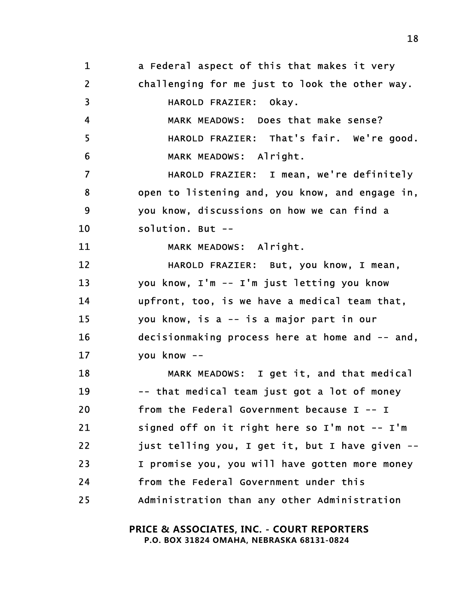<span id="page-17-23"></span><span id="page-17-22"></span><span id="page-17-21"></span><span id="page-17-20"></span><span id="page-17-19"></span><span id="page-17-18"></span><span id="page-17-17"></span><span id="page-17-16"></span><span id="page-17-15"></span><span id="page-17-14"></span><span id="page-17-13"></span><span id="page-17-12"></span><span id="page-17-11"></span><span id="page-17-10"></span><span id="page-17-9"></span><span id="page-17-8"></span><span id="page-17-7"></span><span id="page-17-6"></span><span id="page-17-5"></span><span id="page-17-4"></span><span id="page-17-3"></span><span id="page-17-2"></span><span id="page-17-1"></span><span id="page-17-0"></span>1 a Federal aspect of this that makes it very 2 challenging for me just to look the other way. 3 HAROLD FRAZIER: Okay. 4 MARK MEADOWS: Does that make sense? 5 HAROLD FRAZIER: That's fair. We're good. 6 MARK MEADOWS: Alright. 7 HAROLD FRAZIER: I mean, we're definitely 8 open to listening and, you know, and engage in, 9 you know, discussions on how we can find a 10 solution. But -- 11 MARK MEADOWS: Alright. 12 HAROLD FRAZIER: But, you know, I mean, 13 you know, I'm -- I'm just letting you know 14 upfront, too, is we have a medical team that, 15 you know, is a -- is a major part in our 16 decisionmaking process here at home and -- and, 17 you know -- 18 MARK MEADOWS: I get it, and that medical 19 -- that medical team just got a lot of money 20 from the Federal Government because I -- I 21 signed off on it right here so I'm not -- I'm 22 just telling you, I get it, but I have given -- 23 I promise you, you will have gotten more money 24 from the Federal Government under this 25 Administration than any other Administration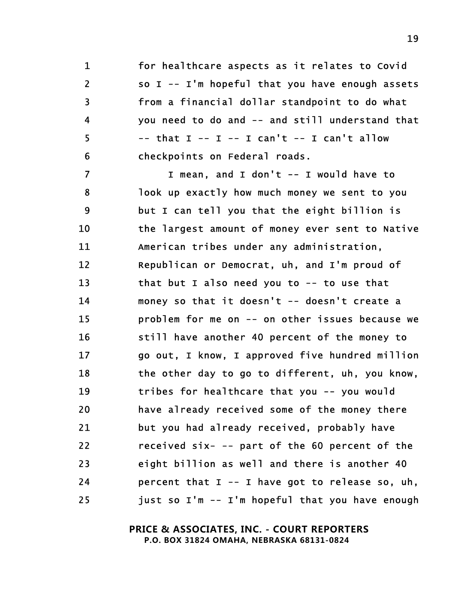<span id="page-18-15"></span><span id="page-18-10"></span><span id="page-18-9"></span>1 for healthcare aspects as it relates to Covid 2 so I -- I'm hopeful that you have enough assets 3 from a financial dollar standpoint to do what 4 you need to do and -- and still understand that  $5$  -- that  $I - I - I$  can't  $- I$  can't allow 6 checkpoints on Federal roads.

<span id="page-18-22"></span><span id="page-18-21"></span><span id="page-18-20"></span><span id="page-18-19"></span><span id="page-18-18"></span><span id="page-18-17"></span><span id="page-18-16"></span><span id="page-18-14"></span><span id="page-18-13"></span><span id="page-18-12"></span><span id="page-18-11"></span><span id="page-18-8"></span><span id="page-18-7"></span><span id="page-18-6"></span><span id="page-18-5"></span><span id="page-18-4"></span><span id="page-18-3"></span><span id="page-18-2"></span><span id="page-18-1"></span><span id="page-18-0"></span>7 I mean, and I don't -- I would have to 8 look up exactly how much money we sent to you 9 but I can tell you that the eight billion is 10 the largest amount of money ever sent to Native 11 American tribes under any administration, 12 Republican or Democrat, uh, and I'm proud of 13 that but I also need you to -- to use that 14 money so that it doesn't -- doesn't create a 15 problem for me on -- on other issues because we 16 still have another 40 percent of the money to 17 go out, I know, I approved five hundred million 18 the other day to go to different, uh, you know, 19 tribes for healthcare that you -- you would 20 have already received some of the money there 21 but you had already received, probably have 22 received six- -- part of the 60 percent of the 23 eight billion as well and there is another 40 24 percent that I -- I have got to release so, uh, 25 just so I'm -- I'm hopeful that you have enough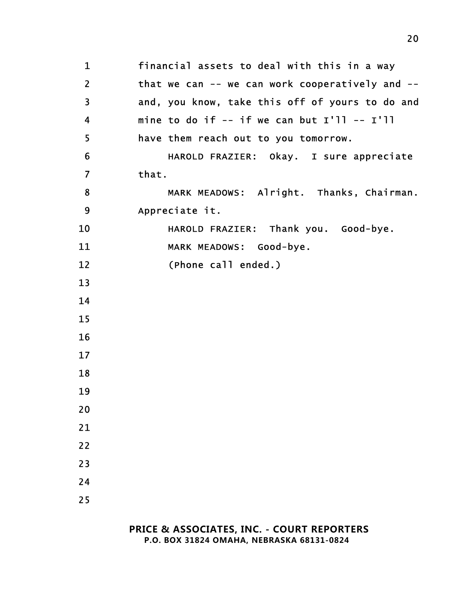<span id="page-19-10"></span><span id="page-19-9"></span><span id="page-19-8"></span><span id="page-19-7"></span><span id="page-19-6"></span><span id="page-19-5"></span><span id="page-19-4"></span><span id="page-19-3"></span><span id="page-19-2"></span><span id="page-19-1"></span><span id="page-19-0"></span>1 financial assets to deal with this in a way 2 that we can -- we can work cooperatively and --3 and, you know, take this off of yours to do and 4 mine to do if -- if we can but I'll -- I'll 5 have them reach out to you tomorrow. 6 HAROLD FRAZIER: Okay. I sure appreciate 7 that. 8 MARK MEADOWS: Alright. Thanks, Chairman. 9 Appreciate it. 10 HAROLD FRAZIER: Thank you. Good-bye. 11 MARK MEADOWS: Good-bye. 12 (Phone call ended.) 13 14 15 16 17 18 19 20 21 22 23 24 25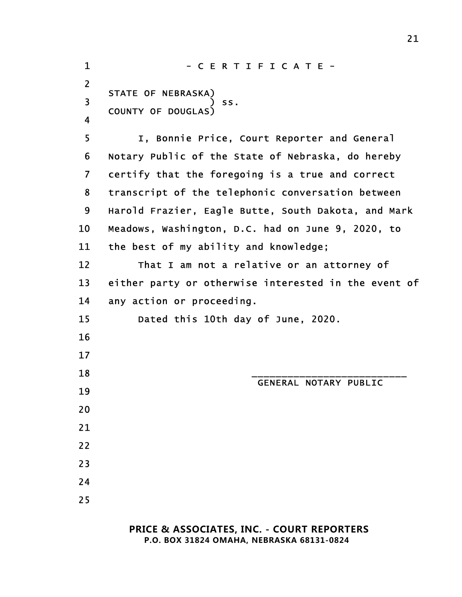<span id="page-20-13"></span><span id="page-20-12"></span><span id="page-20-11"></span><span id="page-20-10"></span><span id="page-20-9"></span><span id="page-20-8"></span><span id="page-20-7"></span><span id="page-20-6"></span><span id="page-20-5"></span><span id="page-20-4"></span><span id="page-20-3"></span><span id="page-20-2"></span><span id="page-20-1"></span><span id="page-20-0"></span>1 - CERTIFICATE -2 STATE OF NEBRASKA) 3 ) ss. COUNTY OF DOUGLAS) 4 5 I, Bonnie Price, Court Reporter and General 6 Notary Public of the State of Nebraska, do hereby 7 certify that the foregoing is a true and correct 8 transcript of the telephonic conversation between 9 Harold Frazier, Eagle Butte, South Dakota, and Mark 10 Meadows, Washington, D.C. had on June 9, 2020, to 11 the best of my ability and knowledge; 12 That I am not a relative or an attorney of 13 either party or otherwise interested in the event of 14 any action or proceeding. 15 Dated this 10th day of June, 2020. 16 17 18 \_\_\_\_\_\_\_\_\_\_\_\_\_\_\_\_\_\_\_\_\_\_\_\_\_\_ GENERAL NOTARY PUBLIC 19 20 21 22 23 24 25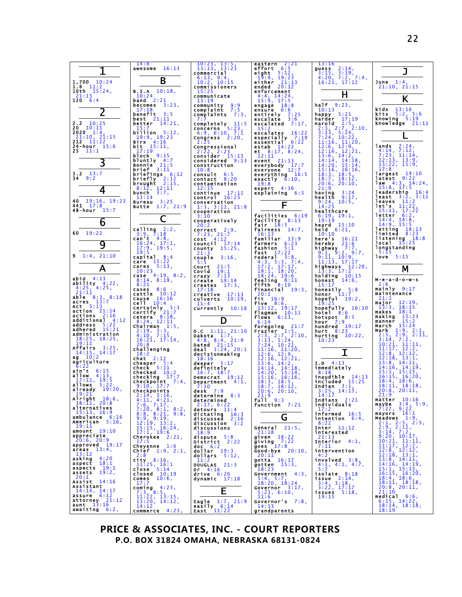

**PRICE & ASSOCIATES, INC. - COURT REPORTERS P.O. BOX 31824 OMAHA, NEBRASKA 68131-0824**